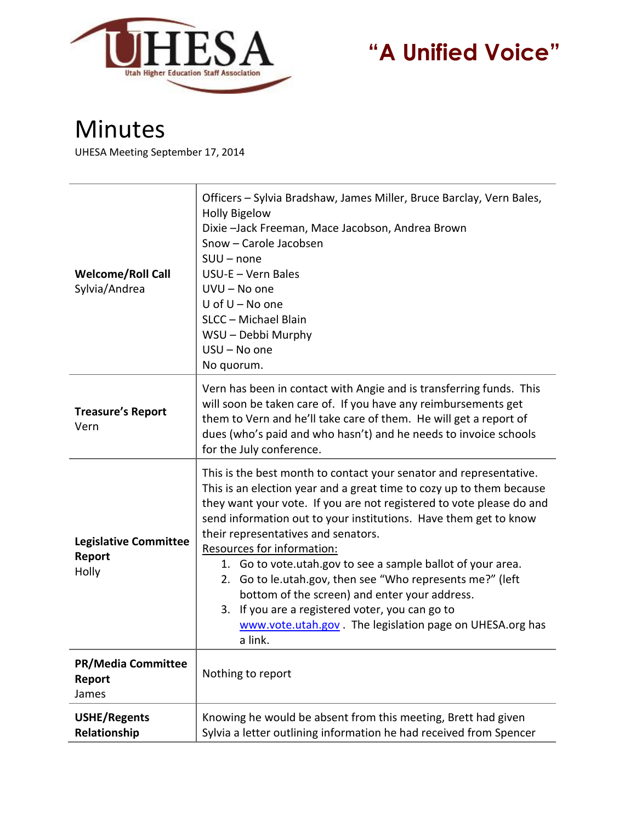

## **"A Unified Voice"**

## Minutes

UHESA Meeting September 17, 2014

| <b>Welcome/Roll Call</b><br>Sylvia/Andrea       | Officers - Sylvia Bradshaw, James Miller, Bruce Barclay, Vern Bales,<br><b>Holly Bigelow</b><br>Dixie -Jack Freeman, Mace Jacobson, Andrea Brown<br>Snow - Carole Jacobsen<br>$SUU$ – none<br>USU-E - Vern Bales<br>UVU - No one<br>U of $U - No$ one<br>SLCC - Michael Blain<br>WSU - Debbi Murphy<br>USU - No one<br>No quorum.                                                                                                                                                                                                                                                                                                                                   |
|-------------------------------------------------|---------------------------------------------------------------------------------------------------------------------------------------------------------------------------------------------------------------------------------------------------------------------------------------------------------------------------------------------------------------------------------------------------------------------------------------------------------------------------------------------------------------------------------------------------------------------------------------------------------------------------------------------------------------------|
| <b>Treasure's Report</b><br>Vern                | Vern has been in contact with Angie and is transferring funds. This<br>will soon be taken care of. If you have any reimbursements get<br>them to Vern and he'll take care of them. He will get a report of<br>dues (who's paid and who hasn't) and he needs to invoice schools<br>for the July conference.                                                                                                                                                                                                                                                                                                                                                          |
| <b>Legislative Committee</b><br>Report<br>Holly | This is the best month to contact your senator and representative.<br>This is an election year and a great time to cozy up to them because<br>they want your vote. If you are not registered to vote please do and<br>send information out to your institutions. Have them get to know<br>their representatives and senators.<br>Resources for information:<br>1. Go to vote.utah.gov to see a sample ballot of your area.<br>2. Go to le.utah.gov, then see "Who represents me?" (left<br>bottom of the screen) and enter your address.<br>3. If you are a registered voter, you can go to<br>www.vote.utah.gov . The legislation page on UHESA.org has<br>a link. |
| <b>PR/Media Committee</b><br>Report<br>James    | Nothing to report                                                                                                                                                                                                                                                                                                                                                                                                                                                                                                                                                                                                                                                   |
| <b>USHE/Regents</b><br>Relationship             | Knowing he would be absent from this meeting, Brett had given<br>Sylvia a letter outlining information he had received from Spencer                                                                                                                                                                                                                                                                                                                                                                                                                                                                                                                                 |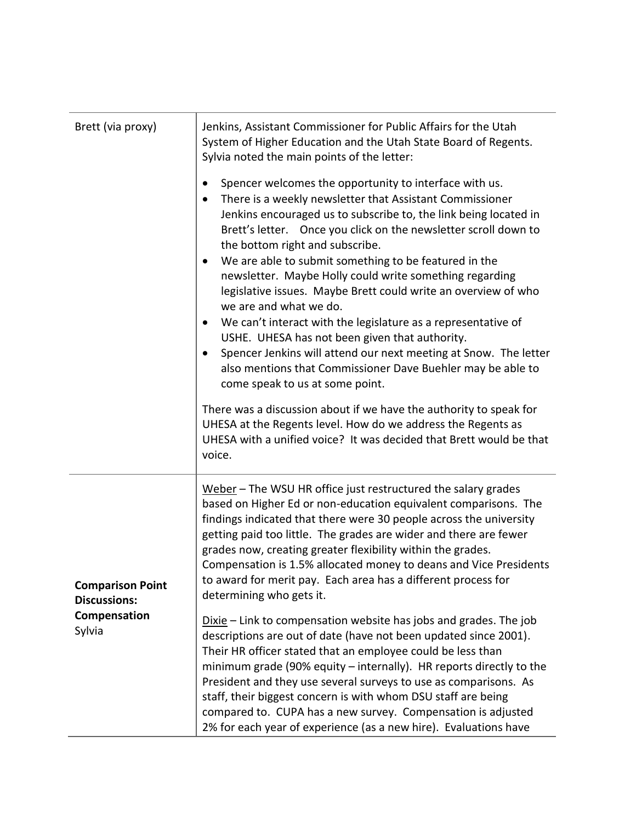| Brett (via proxy)                                                        | Jenkins, Assistant Commissioner for Public Affairs for the Utah<br>System of Higher Education and the Utah State Board of Regents.<br>Sylvia noted the main points of the letter:                                                                                                                                                                                                                                                                                                                                                                                                                                                                                      |
|--------------------------------------------------------------------------|------------------------------------------------------------------------------------------------------------------------------------------------------------------------------------------------------------------------------------------------------------------------------------------------------------------------------------------------------------------------------------------------------------------------------------------------------------------------------------------------------------------------------------------------------------------------------------------------------------------------------------------------------------------------|
|                                                                          | Spencer welcomes the opportunity to interface with us.<br>There is a weekly newsletter that Assistant Commissioner<br>$\bullet$<br>Jenkins encouraged us to subscribe to, the link being located in<br>Brett's letter. Once you click on the newsletter scroll down to<br>the bottom right and subscribe.<br>We are able to submit something to be featured in the<br>$\bullet$<br>newsletter. Maybe Holly could write something regarding<br>legislative issues. Maybe Brett could write an overview of who<br>we are and what we do.<br>We can't interact with the legislature as a representative of<br>$\bullet$<br>USHE. UHESA has not been given that authority. |
|                                                                          | Spencer Jenkins will attend our next meeting at Snow. The letter<br>also mentions that Commissioner Dave Buehler may be able to<br>come speak to us at some point.                                                                                                                                                                                                                                                                                                                                                                                                                                                                                                     |
|                                                                          | There was a discussion about if we have the authority to speak for<br>UHESA at the Regents level. How do we address the Regents as<br>UHESA with a unified voice? It was decided that Brett would be that<br>voice.                                                                                                                                                                                                                                                                                                                                                                                                                                                    |
| <b>Comparison Point</b><br><b>Discussions:</b><br>Compensation<br>Sylvia | Weber - The WSU HR office just restructured the salary grades<br>based on Higher Ed or non-education equivalent comparisons. The<br>findings indicated that there were 30 people across the university<br>getting paid too little. The grades are wider and there are fewer<br>grades now, creating greater flexibility within the grades.<br>Compensation is 1.5% allocated money to deans and Vice Presidents<br>to award for merit pay. Each area has a different process for<br>determining who gets it.                                                                                                                                                           |
|                                                                          | Dixie – Link to compensation website has jobs and grades. The job<br>descriptions are out of date (have not been updated since 2001).<br>Their HR officer stated that an employee could be less than<br>minimum grade (90% equity - internally). HR reports directly to the<br>President and they use several surveys to use as comparisons. As<br>staff, their biggest concern is with whom DSU staff are being<br>compared to. CUPA has a new survey. Compensation is adjusted<br>2% for each year of experience (as a new hire). Evaluations have                                                                                                                   |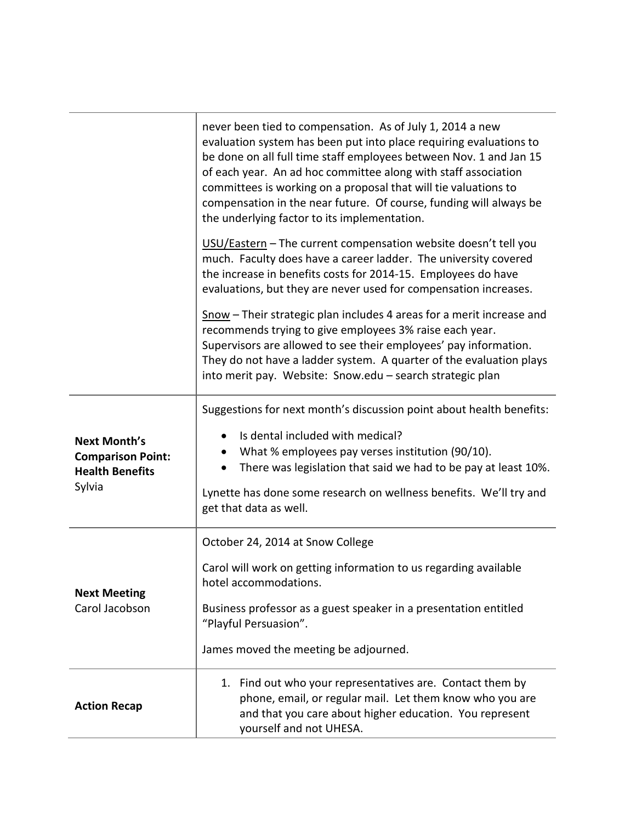|                                                                                     | never been tied to compensation. As of July 1, 2014 a new<br>evaluation system has been put into place requiring evaluations to<br>be done on all full time staff employees between Nov. 1 and Jan 15<br>of each year. An ad hoc committee along with staff association<br>committees is working on a proposal that will tie valuations to<br>compensation in the near future. Of course, funding will always be<br>the underlying factor to its implementation. |
|-------------------------------------------------------------------------------------|------------------------------------------------------------------------------------------------------------------------------------------------------------------------------------------------------------------------------------------------------------------------------------------------------------------------------------------------------------------------------------------------------------------------------------------------------------------|
|                                                                                     | USU/Eastern - The current compensation website doesn't tell you<br>much. Faculty does have a career ladder. The university covered<br>the increase in benefits costs for 2014-15. Employees do have<br>evaluations, but they are never used for compensation increases.                                                                                                                                                                                          |
|                                                                                     | Snow - Their strategic plan includes 4 areas for a merit increase and<br>recommends trying to give employees 3% raise each year.<br>Supervisors are allowed to see their employees' pay information.<br>They do not have a ladder system. A quarter of the evaluation plays<br>into merit pay. Website: Snow.edu - search strategic plan                                                                                                                         |
| <b>Next Month's</b><br><b>Comparison Point:</b><br><b>Health Benefits</b><br>Sylvia | Suggestions for next month's discussion point about health benefits:<br>Is dental included with medical?<br>What % employees pay verses institution (90/10).<br>There was legislation that said we had to be pay at least 10%.<br>$\bullet$<br>Lynette has done some research on wellness benefits. We'll try and<br>get that data as well.                                                                                                                      |
| <b>Next Meeting</b><br>Carol Jacobson                                               | October 24, 2014 at Snow College<br>Carol will work on getting information to us regarding available<br>hotel accommodations.<br>Business professor as a guest speaker in a presentation entitled<br>"Playful Persuasion".<br>James moved the meeting be adjourned.                                                                                                                                                                                              |
| <b>Action Recap</b>                                                                 | 1. Find out who your representatives are. Contact them by<br>phone, email, or regular mail. Let them know who you are<br>and that you care about higher education. You represent<br>yourself and not UHESA.                                                                                                                                                                                                                                                      |